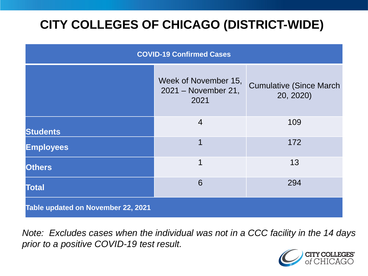# **CITY COLLEGES OF CHICAGO (DISTRICT-WIDE)**

| <b>COVID-19 Confirmed Cases</b>    |                                                     |                                              |
|------------------------------------|-----------------------------------------------------|----------------------------------------------|
|                                    | Week of November 15,<br>2021 - November 21,<br>2021 | <b>Cumulative (Since March)</b><br>20, 2020) |
| <b>Students</b>                    | $\overline{4}$                                      | 109                                          |
| <b>Employees</b>                   | 1                                                   | 172                                          |
| <b>Others</b>                      | 1                                                   | 13                                           |
| <b>Total</b>                       | 6                                                   | 294                                          |
| Table updated on November 22, 2021 |                                                     |                                              |

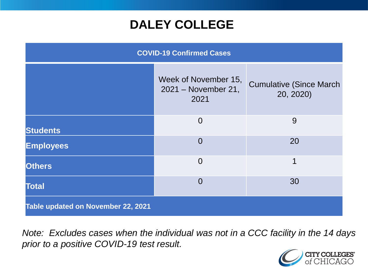## **DALEY COLLEGE**

| <b>COVID-19 Confirmed Cases</b>    |                                                     |                                              |
|------------------------------------|-----------------------------------------------------|----------------------------------------------|
|                                    | Week of November 15,<br>2021 - November 21,<br>2021 | <b>Cumulative (Since March)</b><br>20, 2020) |
| <b>Students</b>                    | $\overline{0}$                                      | 9                                            |
| <b>Employees</b>                   | $\overline{0}$                                      | 20                                           |
| <b>Others</b>                      | $\overline{0}$                                      | $\mathbf 1$                                  |
| <b>Total</b>                       | $\Omega$                                            | 30                                           |
| Table updated on November 22, 2021 |                                                     |                                              |

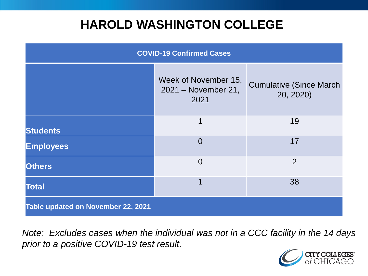## **HAROLD WASHINGTON COLLEGE**

| <b>COVID-19 Confirmed Cases</b>    |                                                     |                                              |
|------------------------------------|-----------------------------------------------------|----------------------------------------------|
|                                    | Week of November 15,<br>2021 - November 21,<br>2021 | <b>Cumulative (Since March)</b><br>20, 2020) |
| <b>Students</b>                    | 1                                                   | 19                                           |
| <b>Employees</b>                   | $\Omega$                                            | 17                                           |
| <b>Others</b>                      | $\overline{0}$                                      | 2                                            |
| <b>Total</b>                       | 1                                                   | 38                                           |
| Table updated on November 22, 2021 |                                                     |                                              |

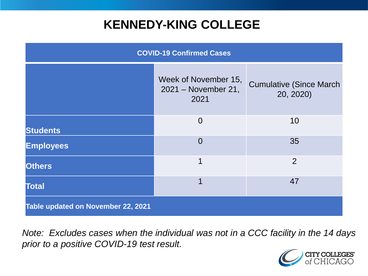## **KENNEDY-KING COLLEGE**

| <b>COVID-19 Confirmed Cases</b>    |                                                     |                                              |
|------------------------------------|-----------------------------------------------------|----------------------------------------------|
|                                    | Week of November 15,<br>2021 - November 21,<br>2021 | <b>Cumulative (Since March)</b><br>20, 2020) |
| <b>Students</b>                    | $\Omega$                                            | 10                                           |
| <b>Employees</b>                   | $\Omega$                                            | 35                                           |
| <b>Others</b>                      | 1                                                   | $\overline{2}$                               |
| <b>Total</b>                       | 1                                                   | 47                                           |
| Table updated on November 22, 2021 |                                                     |                                              |

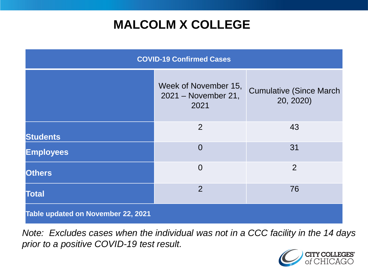# **MALCOLM X COLLEGE**

| <b>COVID-19 Confirmed Cases</b>    |                                                     |                                              |
|------------------------------------|-----------------------------------------------------|----------------------------------------------|
|                                    | Week of November 15,<br>2021 - November 21,<br>2021 | <b>Cumulative (Since March)</b><br>20, 2020) |
| <b>Students</b>                    | $\overline{2}$                                      | 43                                           |
| <b>Employees</b>                   | $\overline{0}$                                      | 31                                           |
| <b>Others</b>                      | $\overline{0}$                                      | $\overline{2}$                               |
| <b>Total</b>                       | $\overline{2}$                                      | 76                                           |
| Table updated on November 22, 2021 |                                                     |                                              |

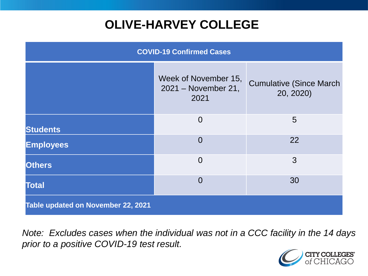# **OLIVE-HARVEY COLLEGE**

| <b>COVID-19 Confirmed Cases</b>    |                                                     |                                              |
|------------------------------------|-----------------------------------------------------|----------------------------------------------|
|                                    | Week of November 15,<br>2021 - November 21,<br>2021 | <b>Cumulative (Since March)</b><br>20, 2020) |
| <b>Students</b>                    | $\overline{0}$                                      | 5                                            |
| <b>Employees</b>                   | $\Omega$                                            | 22                                           |
| <b>Others</b>                      | $\overline{0}$                                      | 3                                            |
| <b>Total</b>                       | $\Omega$                                            | 30                                           |
| Table updated on November 22, 2021 |                                                     |                                              |

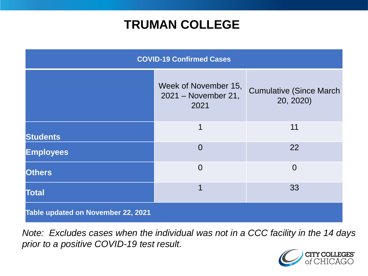## **TRUMAN COLLEGE**

| <b>COVID-19 Confirmed Cases</b>    |                                                     |                                              |
|------------------------------------|-----------------------------------------------------|----------------------------------------------|
|                                    | Week of November 15,<br>2021 - November 21,<br>2021 | <b>Cumulative (Since March)</b><br>20, 2020) |
| <b>Students</b>                    | 1                                                   | 11                                           |
| <b>Employees</b>                   | $\overline{0}$                                      | 22                                           |
| <b>Others</b>                      | $\overline{0}$                                      | $\overline{0}$                               |
| <b>Total</b>                       |                                                     | 33                                           |
| Table updated on November 22, 2021 |                                                     |                                              |

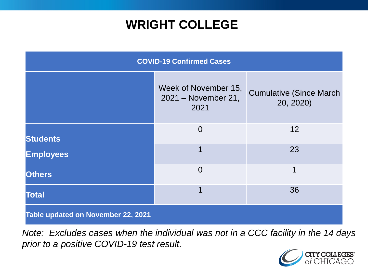## **WRIGHT COLLEGE**

| <b>COVID-19 Confirmed Cases</b>    |                                                     |                                              |
|------------------------------------|-----------------------------------------------------|----------------------------------------------|
|                                    | Week of November 15,<br>2021 - November 21,<br>2021 | <b>Cumulative (Since March)</b><br>20, 2020) |
| <b>Students</b>                    | $\overline{0}$                                      | 12                                           |
| <b>Employees</b>                   | 1                                                   | 23                                           |
| <b>Others</b>                      | $\overline{0}$                                      | 1                                            |
| <b>Total</b>                       | 1                                                   | 36                                           |
| Table updated on November 22, 2021 |                                                     |                                              |